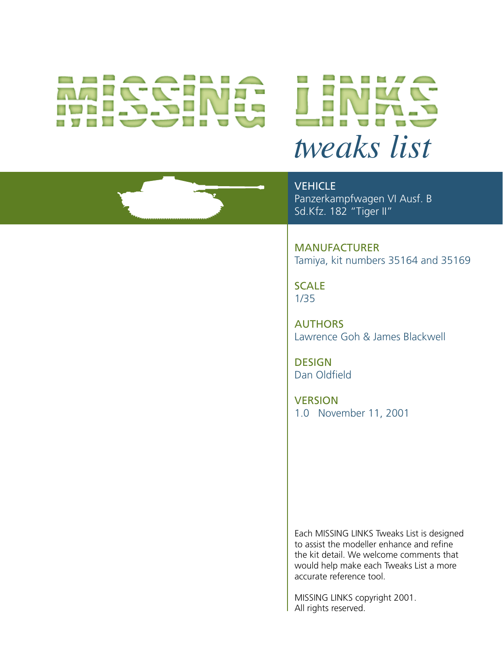# **AVAL**



**VEHICLE** Panzerkampfwagen VI Ausf. B Sd.Kfz. 182 "Tiger II"

MANUFACTURER Tamiya, kit numbers 35164 and 35169

**SCALE** 1/35

**AUTHORS** Lawrence Goh & James Blackwell

**DESIGN** Dan Oldfield

**VERSION** 1.0 November 11, 2001

Each MISSING LINKS Tweaks List is designed to assist the modeller enhance and refine the kit detail. We welcome comments that would help make each Tweaks List a more accurate reference tool.

MISSING LINKS copyright 2001. All rights reserved.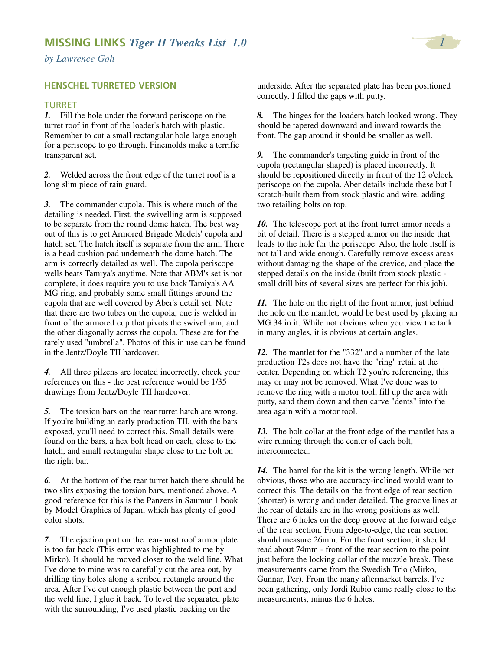*by Lawrence Goh*

# **HENSCHEL TURRETED VERSION**

## TURRET

*1.* Fill the hole under the forward periscope on the turret roof in front of the loader's hatch with plastic. Remember to cut a small rectangular hole large enough for a periscope to go through. Finemolds make a terrific transparent set.

*2.* Welded across the front edge of the turret roof is a long slim piece of rain guard.

*3.* The commander cupola. This is where much of the detailing is needed. First, the swivelling arm is supposed to be separate from the round dome hatch. The best way out of this is to get Armored Brigade Models' cupola and hatch set. The hatch itself is separate from the arm. There is a head cushion pad underneath the dome hatch. The arm is correctly detailed as well. The cupola periscope wells beats Tamiya's anytime. Note that ABM's set is not complete, it does require you to use back Tamiya's AA MG ring, and probably some small fittings around the cupola that are well covered by Aber's detail set. Note that there are two tubes on the cupola, one is welded in front of the armored cup that pivots the swivel arm, and the other diagonally across the cupola. These are for the rarely used "umbrella". Photos of this in use can be found in the Jentz/Doyle TII hardcover.

*4.* All three pilzens are located incorrectly, check your references on this - the best reference would be 1/35 drawings from Jentz/Doyle TII hardcover.

*5.* The torsion bars on the rear turret hatch are wrong. If you're building an early production TII, with the bars exposed, you'll need to correct this. Small details were found on the bars, a hex bolt head on each, close to the hatch, and small rectangular shape close to the bolt on the right bar.

*6.* At the bottom of the rear turret hatch there should be two slits exposing the torsion bars, mentioned above. A good reference for this is the Panzers in Saumur 1 book by Model Graphics of Japan, which has plenty of good color shots.

*7.* The ejection port on the rear-most roof armor plate is too far back (This error was highlighted to me by Mirko). It should be moved closer to the weld line. What I've done to mine was to carefully cut the area out, by drilling tiny holes along a scribed rectangle around the area. After I've cut enough plastic between the port and the weld line, I glue it back. To level the separated plate with the surrounding, I've used plastic backing on the

underside. After the separated plate has been positioned correctly, I filled the gaps with putty.

*8.* The hinges for the loaders hatch looked wrong. They should be tapered downward and inward towards the front. The gap around it should be smaller as well.

*9.* The commander's targeting guide in front of the cupola (rectangular shaped) is placed incorrectly. It should be repositioned directly in front of the 12 o'clock periscope on the cupola. Aber details include these but I scratch-built them from stock plastic and wire, adding two retailing bolts on top.

*10.* The telescope port at the front turret armor needs a bit of detail. There is a stepped armor on the inside that leads to the hole for the periscope. Also, the hole itself is not tall and wide enough. Carefully remove excess areas without damaging the shape of the crevice, and place the stepped details on the inside (built from stock plastic small drill bits of several sizes are perfect for this job).

*11.* The hole on the right of the front armor, just behind the hole on the mantlet, would be best used by placing an MG 34 in it. While not obvious when you view the tank in many angles, it is obvious at certain angles.

*12.* The mantlet for the "332" and a number of the late production T2s does not have the "ring" retail at the center. Depending on which T2 you're referencing, this may or may not be removed. What I've done was to remove the ring with a motor tool, fill up the area with putty, sand them down and then carve "dents" into the area again with a motor tool.

*13.* The bolt collar at the front edge of the mantlet has a wire running through the center of each bolt, interconnected.

*14.* The barrel for the kit is the wrong length. While not obvious, those who are accuracy-inclined would want to correct this. The details on the front edge of rear section (shorter) is wrong and under detailed. The groove lines at the rear of details are in the wrong positions as well. There are 6 holes on the deep groove at the forward edge of the rear section. From edge-to-edge, the rear section should measure 26mm. For the front section, it should read about 74mm - front of the rear section to the point just before the locking collar of the muzzle break. These measurements came from the Swedish Trio (Mirko, Gunnar, Per). From the many aftermarket barrels, I've been gathering, only Jordi Rubio came really close to the measurements, minus the 6 holes.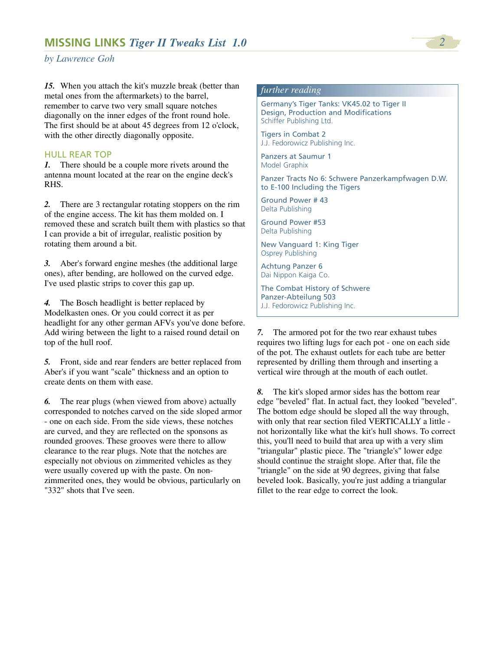*by Lawrence Goh*

*15.* When you attach the kit's muzzle break (better than metal ones from the aftermarkets) to the barrel, remember to carve two very small square notches diagonally on the inner edges of the front round hole. The first should be at about 45 degrees from 12 o'clock, with the other directly diagonally opposite.

## HULL REAR TOP

*1.* There should be a couple more rivets around the antenna mount located at the rear on the engine deck's RHS.

*2.* There are 3 rectangular rotating stoppers on the rim of the engine access. The kit has them molded on. I removed these and scratch built them with plastics so that I can provide a bit of irregular, realistic position by rotating them around a bit.

*3.* Aber's forward engine meshes (the additional large ones), after bending, are hollowed on the curved edge. I've used plastic strips to cover this gap up.

*4.* The Bosch headlight is better replaced by Modelkasten ones. Or you could correct it as per headlight for any other german AFVs you've done before. Add wiring between the light to a raised round detail on top of the hull roof.

*5.* Front, side and rear fenders are better replaced from Aber's if you want "scale" thickness and an option to create dents on them with ease.

*6.* The rear plugs (when viewed from above) actually corresponded to notches carved on the side sloped armor - one on each side. From the side views, these notches are curved, and they are reflected on the sponsons as rounded grooves. These grooves were there to allow clearance to the rear plugs. Note that the notches are especially not obvious on zimmerited vehicles as they were usually covered up with the paste. On nonzimmerited ones, they would be obvious, particularly on "332" shots that I've seen.

# *further reading*

Germany's Tiger Tanks: VK45.02 to Tiger II Design, Production and Modifications Schiffer Publishing Ltd.

Tigers in Combat 2 J.J. Fedorowicz Publishing Inc.

Panzers at Saumur 1 Model Graphix

Panzer Tracts No 6: Schwere Panzerkampfwagen D.W. to E-100 Including the Tigers

Ground Power # 43 Delta Publishing

Ground Power #53 Delta Publishing

New Vanguard 1: King Tiger Osprey Publishing

Achtung Panzer 6 Dai Nippon Kaiga Co.

The Combat History of Schwere Panzer-Abteilung 503 J.J. Fedorowicz Publishing Inc.

*7.* The armored pot for the two rear exhaust tubes requires two lifting lugs for each pot - one on each side of the pot. The exhaust outlets for each tube are better represented by drilling them through and inserting a vertical wire through at the mouth of each outlet.

*8.* The kit's sloped armor sides has the bottom rear edge "beveled" flat. In actual fact, they looked "beveled". The bottom edge should be sloped all the way through, with only that rear section filed VERTICALLY a little not horizontally like what the kit's hull shows. To correct this, you'll need to build that area up with a very slim "triangular" plastic piece. The "triangle's" lower edge should continue the straight slope. After that, file the "triangle" on the side at 90 degrees, giving that false beveled look. Basically, you're just adding a triangular fillet to the rear edge to correct the look.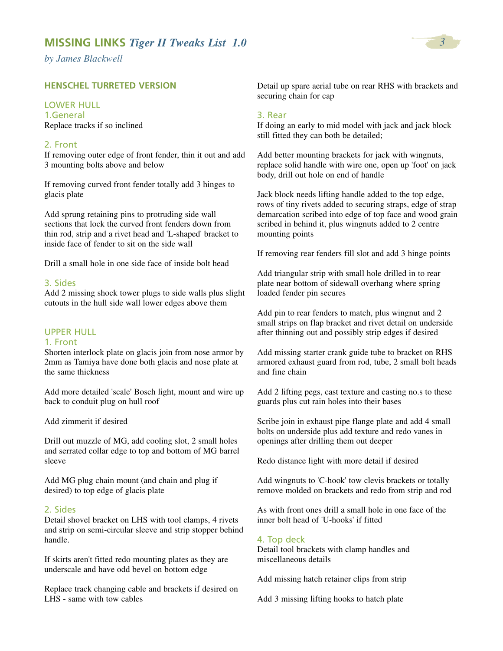*by James Blackwell*

# **HENSCHEL TURRETED VERSION**

# LOWER HULL

1.General Replace tracks if so inclined

# 2. Front

If removing outer edge of front fender, thin it out and add 3 mounting bolts above and below

If removing curved front fender totally add 3 hinges to glacis plate

Add sprung retaining pins to protruding side wall sections that lock the curved front fenders down from thin rod, strip and a rivet head and 'L-shaped' bracket to inside face of fender to sit on the side wall

Drill a small hole in one side face of inside bolt head

# 3. Sides

Add 2 missing shock tower plugs to side walls plus slight cutouts in the hull side wall lower edges above them

# UPPER HULL

# 1. Front

Shorten interlock plate on glacis join from nose armor by 2mm as Tamiya have done both glacis and nose plate at the same thickness

Add more detailed 'scale' Bosch light, mount and wire up back to conduit plug on hull roof

Add zimmerit if desired

Drill out muzzle of MG, add cooling slot, 2 small holes and serrated collar edge to top and bottom of MG barrel sleeve

Add MG plug chain mount (and chain and plug if desired) to top edge of glacis plate

#### 2. Sides

Detail shovel bracket on LHS with tool clamps, 4 rivets and strip on semi-circular sleeve and strip stopper behind handle.

If skirts aren't fitted redo mounting plates as they are underscale and have odd bevel on bottom edge

Replace track changing cable and brackets if desired on LHS - same with tow cables

Detail up spare aerial tube on rear RHS with brackets and securing chain for cap

#### 3. Rear

If doing an early to mid model with jack and jack block still fitted they can both be detailed;

Add better mounting brackets for jack with wingnuts, replace solid handle with wire one, open up 'foot' on jack body, drill out hole on end of handle

Jack block needs lifting handle added to the top edge, rows of tiny rivets added to securing straps, edge of strap demarcation scribed into edge of top face and wood grain scribed in behind it, plus wingnuts added to 2 centre mounting points

If removing rear fenders fill slot and add 3 hinge points

Add triangular strip with small hole drilled in to rear plate near bottom of sidewall overhang where spring loaded fender pin secures

Add pin to rear fenders to match, plus wingnut and 2 small strips on flap bracket and rivet detail on underside after thinning out and possibly strip edges if desired

Add missing starter crank guide tube to bracket on RHS armored exhaust guard from rod, tube, 2 small bolt heads and fine chain

Add 2 lifting pegs, cast texture and casting no.s to these guards plus cut rain holes into their bases

Scribe join in exhaust pipe flange plate and add 4 small bolts on underside plus add texture and redo vanes in openings after drilling them out deeper

Redo distance light with more detail if desired

Add wingnuts to 'C-hook' tow clevis brackets or totally remove molded on brackets and redo from strip and rod

As with front ones drill a small hole in one face of the inner bolt head of 'U-hooks' if fitted

#### 4. Top deck

Detail tool brackets with clamp handles and miscellaneous details

Add missing hatch retainer clips from strip

Add 3 missing lifting hooks to hatch plate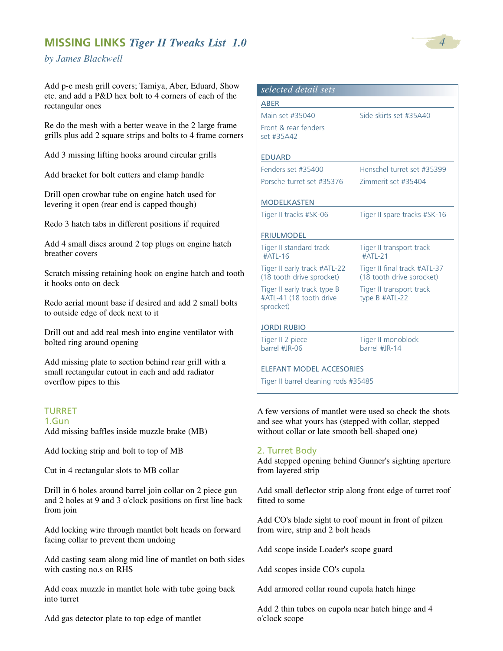# **MISSING LINKS** *Tiger II Tweaks List 1.0 4*

# *by James Blackwell*

Add p-e mesh grill covers; Tamiya, Aber, Eduard, Show etc. and add a P&D hex bolt to 4 corners of each of the rectangular ones

Re do the mesh with a better weave in the 2 large frame grills plus add 2 square strips and bolts to 4 frame corners

Add 3 missing lifting hooks around circular grills

Add bracket for bolt cutters and clamp handle

Drill open crowbar tube on engine hatch used for levering it open (rear end is capped though)

Redo 3 hatch tabs in different positions if required

Add 4 small discs around 2 top plugs on engine hatch breather covers

Scratch missing retaining hook on engine hatch and tooth it hooks onto on deck

Redo aerial mount base if desired and add 2 small bolts to outside edge of deck next to it

Drill out and add real mesh into engine ventilator with bolted ring around opening

Add missing plate to section behind rear grill with a small rectangular cutout in each and add radiator overflow pipes to this

## TURRET

1.Gun

Add missing baffles inside muzzle brake (MB)

Add locking strip and bolt to top of MB

Cut in 4 rectangular slots to MB collar

Drill in 6 holes around barrel join collar on 2 piece gun and 2 holes at 9 and 3 o'clock positions on first line back from join

Add locking wire through mantlet bolt heads on forward facing collar to prevent them undoing

Add casting seam along mid line of mantlet on both sides with casting no.s on RHS

Add coax muzzle in mantlet hole with tube going back into turret

Add gas detector plate to top edge of mantlet

| selected detail sets                                                |                                                           |
|---------------------------------------------------------------------|-----------------------------------------------------------|
| ABER                                                                |                                                           |
| Main set #35040                                                     | Side skirts set #35A40                                    |
| Front & rear fenders<br>set #35A42                                  |                                                           |
| <b>EDUARD</b>                                                       |                                                           |
| Fenders set #35400                                                  | Henschel turret set #35399                                |
| Porsche turret set #35376                                           | Zimmerit set #35404                                       |
| <b>MODELKASTEN</b>                                                  |                                                           |
| Tiger II tracks #SK-06                                              | Tiger II spare tracks #SK-16                              |
| <b>FRIULMODEL</b>                                                   |                                                           |
| Tiger II standard track<br>#ATL-16                                  | Tiger II transport track<br>#ATL-21                       |
| Tiger II early track #ATL-22<br>(18 tooth drive sprocket)           | Tiger II final track #ATL-37<br>(18 tooth drive sprocket) |
| Tiger II early track type B<br>#ATL-41 (18 tooth drive<br>sprocket) | Tiger II transport track<br>type B #ATL-22                |
| <b>JORDI RUBIO</b>                                                  |                                                           |
| Tiger II 2 piece<br>barrel #IR-06                                   | Tiger II monoblock<br>barrel #IR-14                       |
| <b>ELEFANT MODEL ACCESORIES</b>                                     |                                                           |
| Tiger II barrel cleaning rods #35485                                |                                                           |

A few versions of mantlet were used so check the shots and see what yours has (stepped with collar, stepped without collar or late smooth bell-shaped one)

#### 2. Turret Body

Add stepped opening behind Gunner's sighting aperture from layered strip

Add small deflector strip along front edge of turret roof fitted to some

Add CO's blade sight to roof mount in front of pilzen from wire, strip and 2 bolt heads

Add scope inside Loader's scope guard

Add scopes inside CO's cupola

Add armored collar round cupola hatch hinge

Add 2 thin tubes on cupola near hatch hinge and 4 o'clock scope